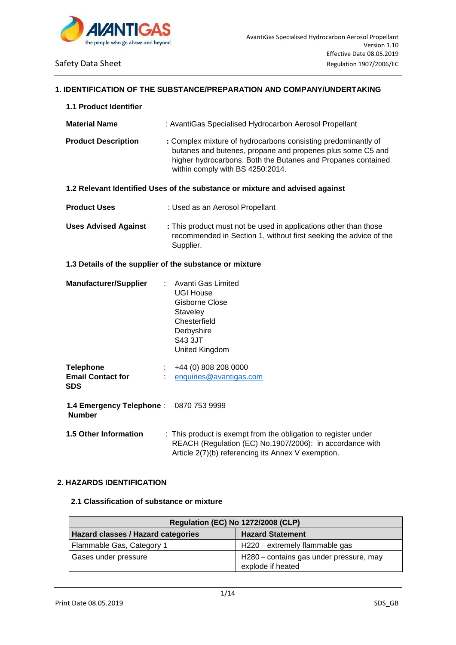

### **1. IDENTIFICATION OF THE SUBSTANCE/PREPARATION AND COMPANY/UNDERTAKING**

| 1.1 Product Identifier                                     |                                                                                                                                                                                                                                 |
|------------------------------------------------------------|---------------------------------------------------------------------------------------------------------------------------------------------------------------------------------------------------------------------------------|
| <b>Material Name</b>                                       | : AvantiGas Specialised Hydrocarbon Aerosol Propellant                                                                                                                                                                          |
| <b>Product Description</b>                                 | : Complex mixture of hydrocarbons consisting predominantly of<br>butanes and butenes, propane and propenes plus some C5 and<br>higher hydrocarbons. Both the Butanes and Propanes contained<br>within comply with BS 4250:2014. |
|                                                            | 1.2 Relevant Identified Uses of the substance or mixture and advised against                                                                                                                                                    |
| <b>Product Uses</b>                                        | : Used as an Aerosol Propellant                                                                                                                                                                                                 |
| <b>Uses Advised Against</b>                                | : This product must not be used in applications other than those<br>recommended in Section 1, without first seeking the advice of the<br>Supplier.                                                                              |
|                                                            | 1.3 Details of the supplier of the substance or mixture                                                                                                                                                                         |
| <b>Manufacturer/Supplier</b>                               | Avanti Gas Limited<br>÷.<br>UGI House<br><b>Gisborne Close</b><br>Staveley<br>Chesterfield<br>Derbyshire<br><b>S43 3JT</b><br>United Kingdom                                                                                    |
| <b>Telephone</b><br><b>Email Contact for</b><br><b>SDS</b> | +44 (0) 808 208 0000<br>enquiries@avantigas.com                                                                                                                                                                                 |
| 1.4 Emergency Telephone:<br><b>Number</b>                  | 0870 753 9999                                                                                                                                                                                                                   |
| 1.5 Other Information                                      | : This product is exempt from the obligation to register under<br>REACH (Regulation (EC) No.1907/2006): in accordance with<br>Article 2(7)(b) referencing its Annex V exemption.                                                |

# **2. HAZARDS IDENTIFICATION**

### **2.1 Classification of substance or mixture**

| <b>Regulation (EC) No 1272/2008 (CLP)</b> |                                                              |  |  |  |
|-------------------------------------------|--------------------------------------------------------------|--|--|--|
| Hazard classes / Hazard categories        | <b>Hazard Statement</b>                                      |  |  |  |
| Flammable Gas, Category 1                 | $H220 -$ extremely flammable gas                             |  |  |  |
| Gases under pressure                      | H280 – contains gas under pressure, may<br>explode if heated |  |  |  |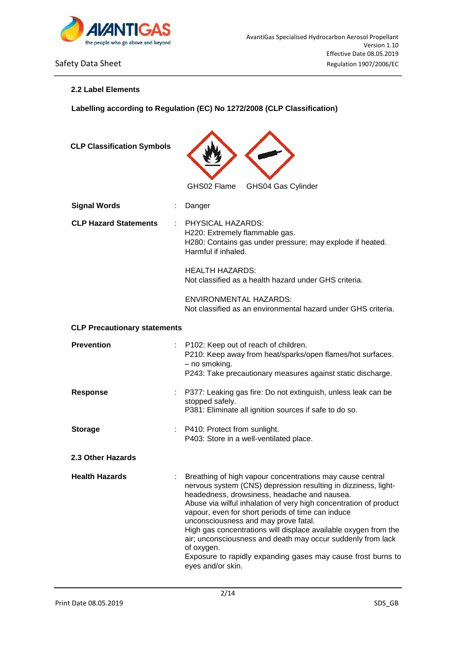

## **2.2 Label Elements**

**Labelling according to Regulation (EC) No 1272/2008 (CLP Classification)**

| <b>CLP Classification Symbols</b>   |                                                                                                                                                                                                                                                                                                                                                                                                                                                                                                                                                                                    |
|-------------------------------------|------------------------------------------------------------------------------------------------------------------------------------------------------------------------------------------------------------------------------------------------------------------------------------------------------------------------------------------------------------------------------------------------------------------------------------------------------------------------------------------------------------------------------------------------------------------------------------|
|                                     | GHS02 Flame<br>GHS04 Gas Cylinder                                                                                                                                                                                                                                                                                                                                                                                                                                                                                                                                                  |
| <b>Signal Words</b>                 | Danger                                                                                                                                                                                                                                                                                                                                                                                                                                                                                                                                                                             |
| <b>CLP Hazard Statements</b>        | PHYSICAL HAZARDS:<br>H220: Extremely flammable gas.<br>H280: Contains gas under pressure; may explode if heated.<br>Harmful if inhaled.                                                                                                                                                                                                                                                                                                                                                                                                                                            |
|                                     | <b>HEALTH HAZARDS:</b><br>Not classified as a health hazard under GHS criteria.                                                                                                                                                                                                                                                                                                                                                                                                                                                                                                    |
|                                     | <b>ENVIRONMENTAL HAZARDS:</b><br>Not classified as an environmental hazard under GHS criteria.                                                                                                                                                                                                                                                                                                                                                                                                                                                                                     |
| <b>CLP Precautionary statements</b> |                                                                                                                                                                                                                                                                                                                                                                                                                                                                                                                                                                                    |
| <b>Prevention</b>                   | P102: Keep out of reach of children.<br>P210: Keep away from heat/sparks/open flames/hot surfaces.<br>- no smoking.<br>P243: Take precautionary measures against static discharge.                                                                                                                                                                                                                                                                                                                                                                                                 |
| <b>Response</b>                     | P377: Leaking gas fire: Do not extinguish, unless leak can be<br>stopped safely.<br>P381: Eliminate all ignition sources if safe to do so.                                                                                                                                                                                                                                                                                                                                                                                                                                         |
| <b>Storage</b>                      | P410: Protect from sunlight.<br>P403: Store in a well-ventilated place.                                                                                                                                                                                                                                                                                                                                                                                                                                                                                                            |
| 2.3 Other Hazards                   |                                                                                                                                                                                                                                                                                                                                                                                                                                                                                                                                                                                    |
| <b>Health Hazards</b>               | Breathing of high vapour concentrations may cause central<br>nervous system (CNS) depression resulting in dizziness, light-<br>headedness, drowsiness, headache and nausea.<br>Abuse via wilful inhalation of very high concentration of product<br>vapour, even for short periods of time can induce<br>unconsciousness and may prove fatal.<br>High gas concentrations will displace available oxygen from the<br>air; unconsciousness and death may occur suddenly from lack<br>of oxygen.<br>Exposure to rapidly expanding gases may cause frost burns to<br>eyes and/or skin. |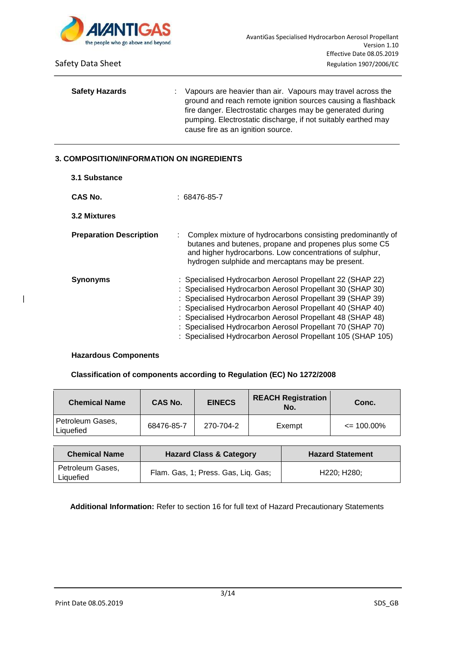

| <b>Safety Hazards</b> | ÷. | Vapours are heavier than air. Vapours may travel across the<br>ground and reach remote ignition sources causing a flashback<br>fire danger. Electrostatic charges may be generated during<br>pumping. Electrostatic discharge, if not suitably earthed may<br>cause fire as an ignition source. |
|-----------------------|----|-------------------------------------------------------------------------------------------------------------------------------------------------------------------------------------------------------------------------------------------------------------------------------------------------|
|                       |    |                                                                                                                                                                                                                                                                                                 |

# **3. COMPOSITION/INFORMATION ON INGREDIENTS**

| 3.1 Substance                  |                                                                                                                                                                                                                                                                                                                                                                                                                                           |
|--------------------------------|-------------------------------------------------------------------------------------------------------------------------------------------------------------------------------------------------------------------------------------------------------------------------------------------------------------------------------------------------------------------------------------------------------------------------------------------|
| CAS No.                        | $: 68476 - 85 - 7$                                                                                                                                                                                                                                                                                                                                                                                                                        |
| 3.2 Mixtures                   |                                                                                                                                                                                                                                                                                                                                                                                                                                           |
| <b>Preparation Description</b> | Complex mixture of hydrocarbons consisting predominantly of<br>butanes and butenes, propane and propenes plus some C5<br>and higher hydrocarbons. Low concentrations of sulphur,<br>hydrogen sulphide and mercaptans may be present.                                                                                                                                                                                                      |
| <b>Synonyms</b>                | : Specialised Hydrocarbon Aerosol Propellant 22 (SHAP 22)<br>: Specialised Hydrocarbon Aerosol Propellant 30 (SHAP 30)<br>: Specialised Hydrocarbon Aerosol Propellant 39 (SHAP 39)<br>: Specialised Hydrocarbon Aerosol Propellant 40 (SHAP 40)<br>: Specialised Hydrocarbon Aerosol Propellant 48 (SHAP 48)<br>: Specialised Hydrocarbon Aerosol Propellant 70 (SHAP 70)<br>: Specialised Hydrocarbon Aerosol Propellant 105 (SHAP 105) |

### **Hazardous Components**

|

### **Classification of components according to Regulation (EC) No 1272/2008**

| <b>Chemical Name</b>          | CAS No.    | <b>EINECS</b> | <b>REACH Registration</b><br>No. | Conc.          |
|-------------------------------|------------|---------------|----------------------------------|----------------|
| Petroleum Gases,<br>Liquefied | 68476-85-7 | 270-704-2     | Exempt                           | $\leq$ 100.00% |

| <b>Chemical Name</b>          | <b>Hazard Class &amp; Category</b>  | <b>Hazard Statement</b>               |
|-------------------------------|-------------------------------------|---------------------------------------|
| Petroleum Gases,<br>Liquefied | Flam. Gas, 1; Press. Gas, Liq. Gas; | H <sub>220</sub> : H <sub>280</sub> : |

**Additional Information:** Refer to section 16 for full text of Hazard Precautionary Statements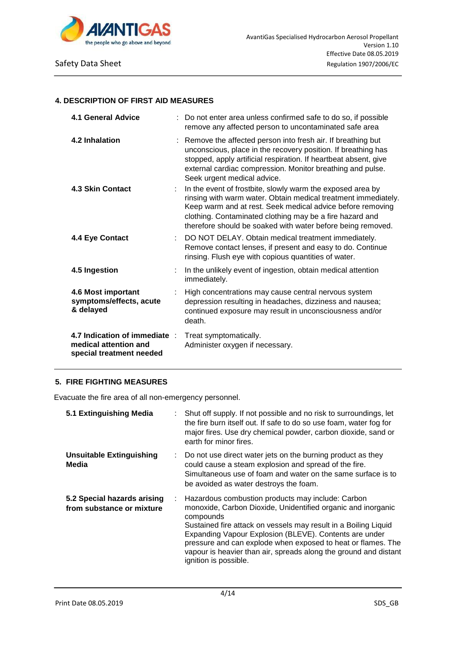

### **4. DESCRIPTION OF FIRST AID MEASURES**

| 4.1 General Advice                                                                 | Do not enter area unless confirmed safe to do so, if possible<br>remove any affected person to uncontaminated safe area                                                                                                                                                                                               |
|------------------------------------------------------------------------------------|-----------------------------------------------------------------------------------------------------------------------------------------------------------------------------------------------------------------------------------------------------------------------------------------------------------------------|
| 4.2 Inhalation                                                                     | : Remove the affected person into fresh air. If breathing but<br>unconscious, place in the recovery position. If breathing has<br>stopped, apply artificial respiration. If heartbeat absent, give<br>external cardiac compression. Monitor breathing and pulse.<br>Seek urgent medical advice.                       |
| <b>4.3 Skin Contact</b>                                                            | In the event of frostbite, slowly warm the exposed area by<br>rinsing with warm water. Obtain medical treatment immediately.<br>Keep warm and at rest. Seek medical advice before removing<br>clothing. Contaminated clothing may be a fire hazard and<br>therefore should be soaked with water before being removed. |
| 4.4 Eye Contact                                                                    | DO NOT DELAY. Obtain medical treatment immediately.<br>Remove contact lenses, if present and easy to do. Continue<br>rinsing. Flush eye with copious quantities of water.                                                                                                                                             |
| 4.5 Ingestion                                                                      | In the unlikely event of ingestion, obtain medical attention<br>immediately.                                                                                                                                                                                                                                          |
| 4.6 Most important<br>symptoms/effects, acute<br>& delayed                         | High concentrations may cause central nervous system<br>depression resulting in headaches, dizziness and nausea;<br>continued exposure may result in unconsciousness and/or<br>death.                                                                                                                                 |
| 4.7 Indication of immediate :<br>medical attention and<br>special treatment needed | Treat symptomatically.<br>Administer oxygen if necessary.                                                                                                                                                                                                                                                             |

# **5. FIRE FIGHTING MEASURES**

Evacuate the fire area of all non-emergency personnel.

| 5.1 Extinguishing Media                                  |   | Shut off supply. If not possible and no risk to surroundings, let<br>the fire burn itself out. If safe to do so use foam, water fog for<br>major fires. Use dry chemical powder, carbon dioxide, sand or<br>earth for minor fires.                                                                                                                                                                                       |
|----------------------------------------------------------|---|--------------------------------------------------------------------------------------------------------------------------------------------------------------------------------------------------------------------------------------------------------------------------------------------------------------------------------------------------------------------------------------------------------------------------|
| <b>Unsuitable Extinguishing</b><br>Media                 |   | : Do not use direct water jets on the burning product as they<br>could cause a steam explosion and spread of the fire.<br>Simultaneous use of foam and water on the same surface is to<br>be avoided as water destroys the foam.                                                                                                                                                                                         |
| 5.2 Special hazards arising<br>from substance or mixture | ÷ | Hazardous combustion products may include: Carbon<br>monoxide, Carbon Dioxide, Unidentified organic and inorganic<br>compounds<br>Sustained fire attack on vessels may result in a Boiling Liquid<br>Expanding Vapour Explosion (BLEVE). Contents are under<br>pressure and can explode when exposed to heat or flames. The<br>vapour is heavier than air, spreads along the ground and distant<br>ignition is possible. |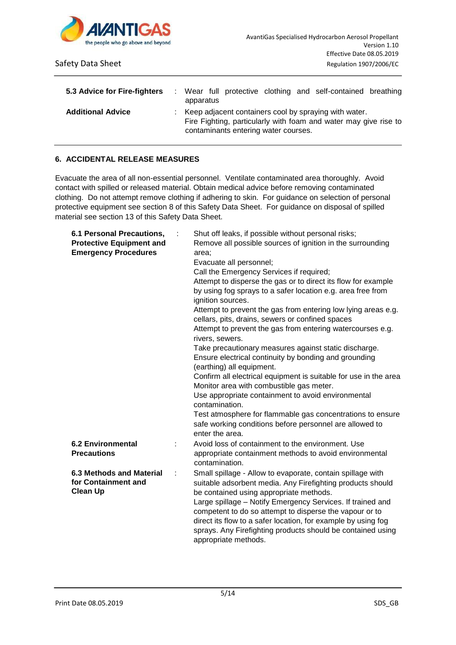

| 5.3 Advice for Fire-fighters | apparatus |                                      |  | : Wear full protective clothing and self-contained breathing                                                                |  |
|------------------------------|-----------|--------------------------------------|--|-----------------------------------------------------------------------------------------------------------------------------|--|
| <b>Additional Advice</b>     |           | contaminants entering water courses. |  | : Keep adjacent containers cool by spraying with water.<br>Fire Fighting, particularly with foam and water may give rise to |  |

# **6. ACCIDENTAL RELEASE MEASURES**

Evacuate the area of all non-essential personnel. Ventilate contaminated area thoroughly. Avoid contact with spilled or released material. Obtain medical advice before removing contaminated clothing. Do not attempt remove clothing if adhering to skin. For guidance on selection of personal protective equipment see section 8 of this Safety Data Sheet. For guidance on disposal of spilled material see section 13 of this Safety Data Sheet.

| 6.1 Personal Precautions,<br><b>Protective Equipment and</b><br><b>Emergency Procedures</b> |   | Shut off leaks, if possible without personal risks;<br>Remove all possible sources of ignition in the surrounding<br>area:<br>Evacuate all personnel;<br>Call the Emergency Services if required;<br>Attempt to disperse the gas or to direct its flow for example<br>by using fog sprays to a safer location e.g. area free from<br>ignition sources.<br>Attempt to prevent the gas from entering low lying areas e.g.<br>cellars, pits, drains, sewers or confined spaces |
|---------------------------------------------------------------------------------------------|---|-----------------------------------------------------------------------------------------------------------------------------------------------------------------------------------------------------------------------------------------------------------------------------------------------------------------------------------------------------------------------------------------------------------------------------------------------------------------------------|
|                                                                                             |   | Attempt to prevent the gas from entering watercourses e.g.<br>rivers, sewers.                                                                                                                                                                                                                                                                                                                                                                                               |
|                                                                                             |   | Take precautionary measures against static discharge.<br>Ensure electrical continuity by bonding and grounding<br>(earthing) all equipment.                                                                                                                                                                                                                                                                                                                                 |
|                                                                                             |   | Confirm all electrical equipment is suitable for use in the area<br>Monitor area with combustible gas meter.                                                                                                                                                                                                                                                                                                                                                                |
|                                                                                             |   | Use appropriate containment to avoid environmental<br>contamination.                                                                                                                                                                                                                                                                                                                                                                                                        |
|                                                                                             |   | Test atmosphere for flammable gas concentrations to ensure<br>safe working conditions before personnel are allowed to<br>enter the area.                                                                                                                                                                                                                                                                                                                                    |
| <b>6.2 Environmental</b><br><b>Precautions</b>                                              |   | Avoid loss of containment to the environment. Use<br>appropriate containment methods to avoid environmental<br>contamination.                                                                                                                                                                                                                                                                                                                                               |
| 6.3 Methods and Material<br>for Containment and<br><b>Clean Up</b>                          | ÷ | Small spillage - Allow to evaporate, contain spillage with<br>suitable adsorbent media. Any Firefighting products should<br>be contained using appropriate methods.<br>Large spillage - Notify Emergency Services. If trained and<br>competent to do so attempt to disperse the vapour or to<br>direct its flow to a safer location, for example by using fog<br>sprays. Any Firefighting products should be contained using<br>appropriate methods.                        |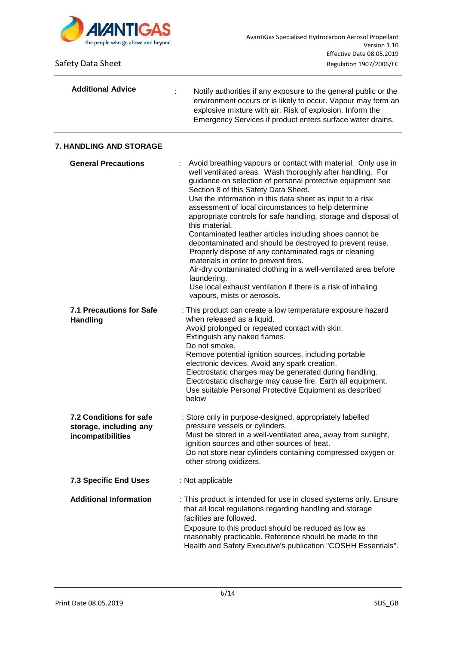

| <b>Additional Advice</b>                                               | Notify authorities if any exposure to the general public or the<br>environment occurs or is likely to occur. Vapour may form an<br>explosive mixture with air. Risk of explosion. Inform the<br>Emergency Services if product enters surface water drains.                                                                                                                                                                                                                                                                                                                                                                                                                                                                                                                                                                                         |
|------------------------------------------------------------------------|----------------------------------------------------------------------------------------------------------------------------------------------------------------------------------------------------------------------------------------------------------------------------------------------------------------------------------------------------------------------------------------------------------------------------------------------------------------------------------------------------------------------------------------------------------------------------------------------------------------------------------------------------------------------------------------------------------------------------------------------------------------------------------------------------------------------------------------------------|
| 7. HANDLING AND STORAGE                                                |                                                                                                                                                                                                                                                                                                                                                                                                                                                                                                                                                                                                                                                                                                                                                                                                                                                    |
| <b>General Precautions</b>                                             | Avoid breathing vapours or contact with material. Only use in<br>well ventilated areas. Wash thoroughly after handling. For<br>guidance on selection of personal protective equipment see<br>Section 8 of this Safety Data Sheet.<br>Use the information in this data sheet as input to a risk<br>assessment of local circumstances to help determine<br>appropriate controls for safe handling, storage and disposal of<br>this material.<br>Contaminated leather articles including shoes cannot be<br>decontaminated and should be destroyed to prevent reuse.<br>Properly dispose of any contaminated rags or cleaning<br>materials in order to prevent fires.<br>Air-dry contaminated clothing in a well-ventilated area before<br>laundering.<br>Use local exhaust ventilation if there is a risk of inhaling<br>vapours, mists or aerosols. |
| <b>7.1 Precautions for Safe</b><br><b>Handling</b>                     | : This product can create a low temperature exposure hazard<br>when released as a liquid.<br>Avoid prolonged or repeated contact with skin.<br>Extinguish any naked flames.<br>Do not smoke.<br>Remove potential ignition sources, including portable<br>electronic devices. Avoid any spark creation.<br>Electrostatic charges may be generated during handling.<br>Electrostatic discharge may cause fire. Earth all equipment.<br>Use suitable Personal Protective Equipment as described<br>below                                                                                                                                                                                                                                                                                                                                              |
| 7.2 Conditions for safe<br>storage, including any<br>incompatibilities | : Store only in purpose-designed, appropriately labelled<br>pressure vessels or cylinders.<br>Must be stored in a well-ventilated area, away from sunlight,<br>ignition sources and other sources of heat.<br>Do not store near cylinders containing compressed oxygen or<br>other strong oxidizers.                                                                                                                                                                                                                                                                                                                                                                                                                                                                                                                                               |
| <b>7.3 Specific End Uses</b>                                           | : Not applicable                                                                                                                                                                                                                                                                                                                                                                                                                                                                                                                                                                                                                                                                                                                                                                                                                                   |
| <b>Additional Information</b>                                          | : This product is intended for use in closed systems only. Ensure<br>that all local regulations regarding handling and storage<br>facilities are followed.<br>Exposure to this product should be reduced as low as<br>reasonably practicable. Reference should be made to the<br>Health and Safety Executive's publication "COSHH Essentials".                                                                                                                                                                                                                                                                                                                                                                                                                                                                                                     |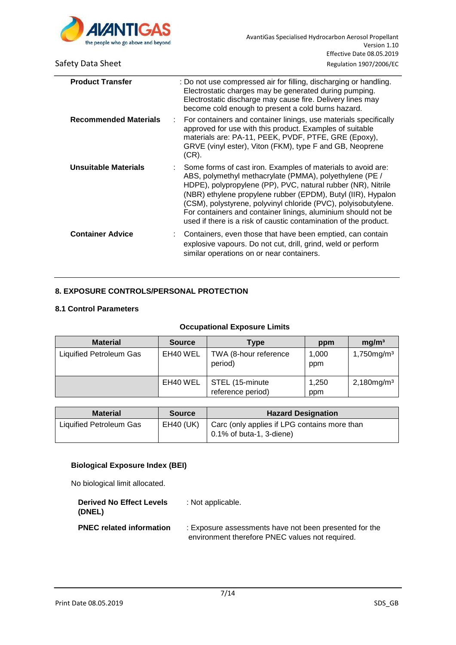

| <b>Product Transfer</b>      | : Do not use compressed air for filling, discharging or handling.<br>Electrostatic charges may be generated during pumping.<br>Electrostatic discharge may cause fire. Delivery lines may<br>become cold enough to present a cold burns hazard.                                                                                                                                                                                                                  |
|------------------------------|------------------------------------------------------------------------------------------------------------------------------------------------------------------------------------------------------------------------------------------------------------------------------------------------------------------------------------------------------------------------------------------------------------------------------------------------------------------|
| <b>Recommended Materials</b> | For containers and container linings, use materials specifically<br>approved for use with this product. Examples of suitable<br>materials are: PA-11, PEEK, PVDF, PTFE, GRE (Epoxy),<br>GRVE (vinyl ester), Viton (FKM), type F and GB, Neoprene<br>$(CR)$ .                                                                                                                                                                                                     |
| Unsuitable Materials         | : Some forms of cast iron. Examples of materials to avoid are:<br>ABS, polymethyl methacrylate (PMMA), polyethylene (PE /<br>HDPE), polypropylene (PP), PVC, natural rubber (NR), Nitrile<br>(NBR) ethylene propylene rubber (EPDM), Butyl (IIR), Hypalon<br>(CSM), polystyrene, polyvinyl chloride (PVC), polyisobutylene.<br>For containers and container linings, aluminium should not be<br>used if there is a risk of caustic contamination of the product. |
| <b>Container Advice</b>      | Containers, even those that have been emptied, can contain<br>explosive vapours. Do not cut, drill, grind, weld or perform<br>similar operations on or near containers.                                                                                                                                                                                                                                                                                          |

# **8. EXPOSURE CONTROLS/PERSONAL PROTECTION**

# **8.1 Control Parameters**

## **Occupational Exposure Limits**

| <b>Material</b>         | <b>Source</b> | Type                                 | ppm          | mg/m <sup>3</sup>         |
|-------------------------|---------------|--------------------------------------|--------------|---------------------------|
| Liquified Petroleum Gas | EH40 WEL      | TWA (8-hour reference<br>period)     | 1,000<br>ppm | $1,750$ mg/m <sup>3</sup> |
|                         | EH40 WEL      | STEL (15-minute<br>reference period) | 1,250<br>ppm | $2,180$ mg/m <sup>3</sup> |

| <b>Material</b>         | <b>Source</b> | <b>Hazard Designation</b>                                                                          |
|-------------------------|---------------|----------------------------------------------------------------------------------------------------|
| Liquified Petroleum Gas |               | EH40 (UK) $\vert$ Carc (only applies if LPG contains more than<br>$\vert$ 0.1% of buta-1, 3-diene) |

## **Biological Exposure Index (BEI)**

No biological limit allocated.

| <b>Derived No Effect Levels</b><br>(DNEL) | : Not applicable.                                      |
|-------------------------------------------|--------------------------------------------------------|
| <b>PNEC related information</b>           | : Exposure assessments have not been presented for the |
|                                           | environment therefore PNEC values not required.        |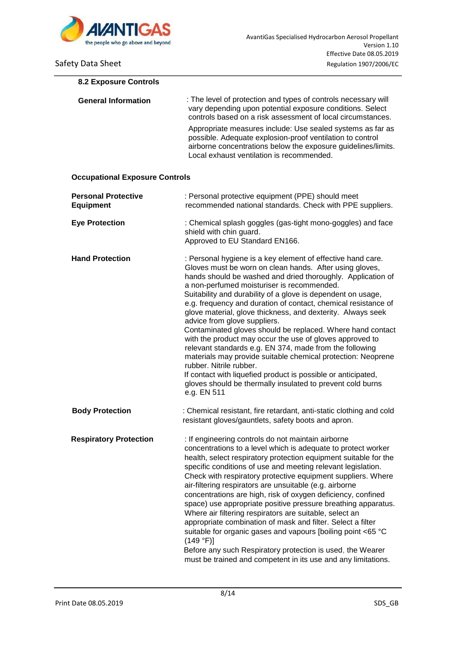

| <b>8.2 Exposure Controls</b>                   |                                                                                                                                                                                                                                                                                                                                                                                                                                                                                                                                                                                                                                                                                                                                                                                                                                                                                                    |
|------------------------------------------------|----------------------------------------------------------------------------------------------------------------------------------------------------------------------------------------------------------------------------------------------------------------------------------------------------------------------------------------------------------------------------------------------------------------------------------------------------------------------------------------------------------------------------------------------------------------------------------------------------------------------------------------------------------------------------------------------------------------------------------------------------------------------------------------------------------------------------------------------------------------------------------------------------|
| <b>General Information</b>                     | : The level of protection and types of controls necessary will<br>vary depending upon potential exposure conditions. Select<br>controls based on a risk assessment of local circumstances.                                                                                                                                                                                                                                                                                                                                                                                                                                                                                                                                                                                                                                                                                                         |
|                                                | Appropriate measures include: Use sealed systems as far as<br>possible. Adequate explosion-proof ventilation to control<br>airborne concentrations below the exposure guidelines/limits.<br>Local exhaust ventilation is recommended.                                                                                                                                                                                                                                                                                                                                                                                                                                                                                                                                                                                                                                                              |
| <b>Occupational Exposure Controls</b>          |                                                                                                                                                                                                                                                                                                                                                                                                                                                                                                                                                                                                                                                                                                                                                                                                                                                                                                    |
| <b>Personal Protective</b><br><b>Equipment</b> | : Personal protective equipment (PPE) should meet<br>recommended national standards. Check with PPE suppliers.                                                                                                                                                                                                                                                                                                                                                                                                                                                                                                                                                                                                                                                                                                                                                                                     |
| <b>Eye Protection</b>                          | : Chemical splash goggles (gas-tight mono-goggles) and face<br>shield with chin guard.<br>Approved to EU Standard EN166.                                                                                                                                                                                                                                                                                                                                                                                                                                                                                                                                                                                                                                                                                                                                                                           |
| <b>Hand Protection</b>                         | : Personal hygiene is a key element of effective hand care.<br>Gloves must be worn on clean hands. After using gloves,<br>hands should be washed and dried thoroughly. Application of<br>a non-perfumed moisturiser is recommended.<br>Suitability and durability of a glove is dependent on usage,<br>e.g. frequency and duration of contact, chemical resistance of<br>glove material, glove thickness, and dexterity. Always seek<br>advice from glove suppliers.<br>Contaminated gloves should be replaced. Where hand contact<br>with the product may occur the use of gloves approved to<br>relevant standards e.g. EN 374, made from the following<br>materials may provide suitable chemical protection: Neoprene<br>rubber. Nitrile rubber.<br>If contact with liquefied product is possible or anticipated,<br>gloves should be thermally insulated to prevent cold burns<br>e.g. EN 511 |
| <b>Body Protection</b>                         | : Chemical resistant, fire retardant, anti-static clothing and cold<br>resistant gloves/gauntlets, safety boots and apron.                                                                                                                                                                                                                                                                                                                                                                                                                                                                                                                                                                                                                                                                                                                                                                         |
| <b>Respiratory Protection</b>                  | : If engineering controls do not maintain airborne<br>concentrations to a level which is adequate to protect worker<br>health, select respiratory protection equipment suitable for the<br>specific conditions of use and meeting relevant legislation.<br>Check with respiratory protective equipment suppliers. Where<br>air-filtering respirators are unsuitable (e.g. airborne<br>concentrations are high, risk of oxygen deficiency, confined<br>space) use appropriate positive pressure breathing apparatus.<br>Where air filtering respirators are suitable, select an<br>appropriate combination of mask and filter. Select a filter<br>suitable for organic gases and vapours [boiling point <65 °C<br>(149 °F)]<br>Before any such Respiratory protection is used, the Wearer<br>must be trained and competent in its use and any limitations.                                          |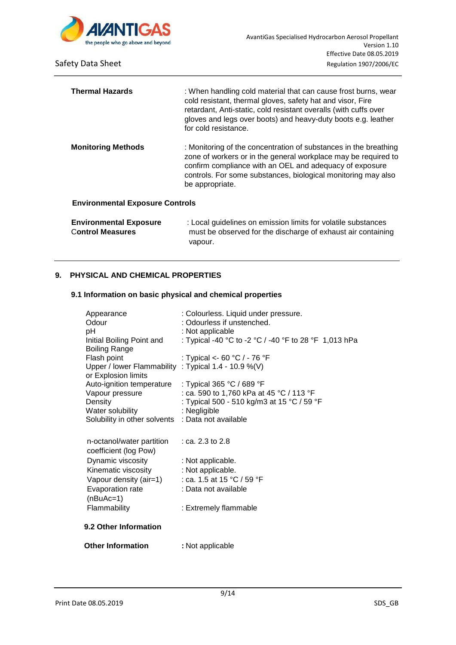

| <b>Thermal Hazards</b>                 | : When handling cold material that can cause frost burns, wear<br>cold resistant, thermal gloves, safety hat and visor, Fire<br>retardant, Anti-static, cold resistant overalls (with cuffs over<br>gloves and legs over boots) and heavy-duty boots e.g. leather<br>for cold resistance. |
|----------------------------------------|-------------------------------------------------------------------------------------------------------------------------------------------------------------------------------------------------------------------------------------------------------------------------------------------|
| <b>Monitoring Methods</b>              | : Monitoring of the concentration of substances in the breathing<br>zone of workers or in the general workplace may be required to<br>confirm compliance with an OEL and adequacy of exposure<br>controls. For some substances, biological monitoring may also<br>be appropriate.         |
| <b>Environmental Exposure Controls</b> |                                                                                                                                                                                                                                                                                           |
| <b>Environmental Exposure</b>          | : Local quidelines on emission limits for volatile substances                                                                                                                                                                                                                             |

| <b>Environmental Exposure</b> | : Local guidelines on emission limits for volatile substances |
|-------------------------------|---------------------------------------------------------------|
| <b>Control Measures</b>       | must be observed for the discharge of exhaust air containing  |
|                               | vapour.                                                       |

### **9. PHYSICAL AND CHEMICAL PROPERTIES**

## **9.1 Information on basic physical and chemical properties**

| Appearance<br>Odour<br>pH                          | : Colourless. Liquid under pressure.<br>: Odourless if unstenched.<br>: Not applicable |
|----------------------------------------------------|----------------------------------------------------------------------------------------|
| Initial Boiling Point and<br><b>Boiling Range</b>  | : Typical -40 °C to -2 °C / -40 °F to 28 °F 1,013 hPa                                  |
| Flash point                                        | : Typical <- 60 °C / - 76 °F                                                           |
| Upper / lower Flammability<br>or Explosion limits  | : Typical 1.4 - 10.9 %(V)                                                              |
| Auto-ignition temperature                          | : Typical 365 °C / 689 °F                                                              |
| Vapour pressure                                    | : ca. 590 to 1,760 kPa at 45 °C / 113 °F                                               |
| Density                                            | : Typical 500 - 510 kg/m3 at 15 °C / 59 °F                                             |
| Water solubility                                   | : Negligible                                                                           |
| Solubility in other solvents : Data not available  |                                                                                        |
| n-octanol/water partition<br>coefficient (log Pow) | : ca. 2.3 to 2.8                                                                       |
| Dynamic viscosity                                  | : Not applicable.                                                                      |
| Kinematic viscosity                                | : Not applicable.                                                                      |
| Vapour density (air=1)                             | : ca. 1.5 at 15 °C / 59 °F                                                             |
| Evaporation rate                                   | : Data not available                                                                   |
| $(nBuAc=1)$                                        |                                                                                        |
| Flammability                                       | : Extremely flammable                                                                  |
| 9.2 Other Information                              |                                                                                        |
| <b>Other Information</b>                           | : Not applicable                                                                       |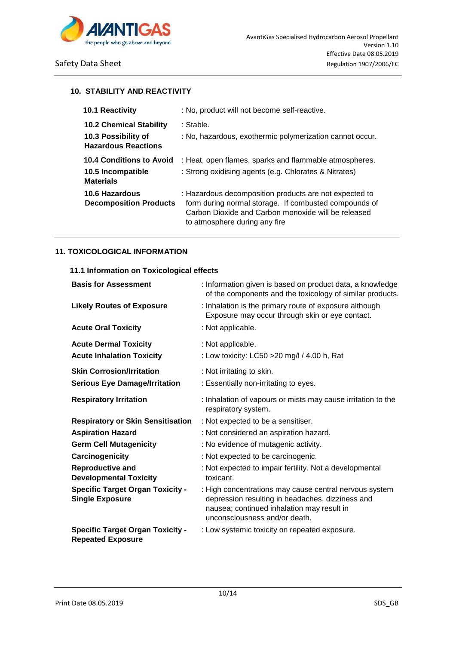

### **10. STABILITY AND REACTIVITY**

| <b>10.1 Reactivity</b>                            | : No, product will not become self-reactive.                                                                                                                                                            |
|---------------------------------------------------|---------------------------------------------------------------------------------------------------------------------------------------------------------------------------------------------------------|
| <b>10.2 Chemical Stability</b>                    | : Stable.                                                                                                                                                                                               |
| 10.3 Possibility of<br><b>Hazardous Reactions</b> | : No, hazardous, exothermic polymerization cannot occur.                                                                                                                                                |
| <b>10.4 Conditions to Avoid</b>                   | : Heat, open flames, sparks and flammable atmospheres.                                                                                                                                                  |
| 10.5 Incompatible<br><b>Materials</b>             | : Strong oxidising agents (e.g. Chlorates & Nitrates)                                                                                                                                                   |
| 10.6 Hazardous<br><b>Decomposition Products</b>   | : Hazardous decomposition products are not expected to<br>form during normal storage. If combusted compounds of<br>Carbon Dioxide and Carbon monoxide will be released<br>to atmosphere during any fire |

### **11. TOXICOLOGICAL INFORMATION**

## **11.1 Information on Toxicological effects**

| <b>Basis for Assessment</b>                                         | : Information given is based on product data, a knowledge<br>of the components and the toxicology of similar products.                                                                    |
|---------------------------------------------------------------------|-------------------------------------------------------------------------------------------------------------------------------------------------------------------------------------------|
| <b>Likely Routes of Exposure</b>                                    | : Inhalation is the primary route of exposure although<br>Exposure may occur through skin or eye contact.                                                                                 |
| <b>Acute Oral Toxicity</b>                                          | : Not applicable.                                                                                                                                                                         |
| <b>Acute Dermal Toxicity</b>                                        | : Not applicable.                                                                                                                                                                         |
| <b>Acute Inhalation Toxicity</b>                                    | : Low toxicity: LC50 > 20 mg/l / 4.00 h, Rat                                                                                                                                              |
| <b>Skin Corrosion/Irritation</b>                                    | : Not irritating to skin.                                                                                                                                                                 |
| <b>Serious Eye Damage/Irritation</b>                                | : Essentially non-irritating to eyes.                                                                                                                                                     |
| <b>Respiratory Irritation</b>                                       | : Inhalation of vapours or mists may cause irritation to the<br>respiratory system.                                                                                                       |
| <b>Respiratory or Skin Sensitisation</b>                            | : Not expected to be a sensitiser.                                                                                                                                                        |
| <b>Aspiration Hazard</b>                                            | : Not considered an aspiration hazard.                                                                                                                                                    |
| <b>Germ Cell Mutagenicity</b>                                       | : No evidence of mutagenic activity.                                                                                                                                                      |
| Carcinogenicity                                                     | : Not expected to be carcinogenic.                                                                                                                                                        |
| <b>Reproductive and</b><br><b>Developmental Toxicity</b>            | : Not expected to impair fertility. Not a developmental<br>toxicant.                                                                                                                      |
| <b>Specific Target Organ Toxicity -</b><br><b>Single Exposure</b>   | : High concentrations may cause central nervous system<br>depression resulting in headaches, dizziness and<br>nausea; continued inhalation may result in<br>unconsciousness and/or death. |
| <b>Specific Target Organ Toxicity -</b><br><b>Repeated Exposure</b> | : Low systemic toxicity on repeated exposure.                                                                                                                                             |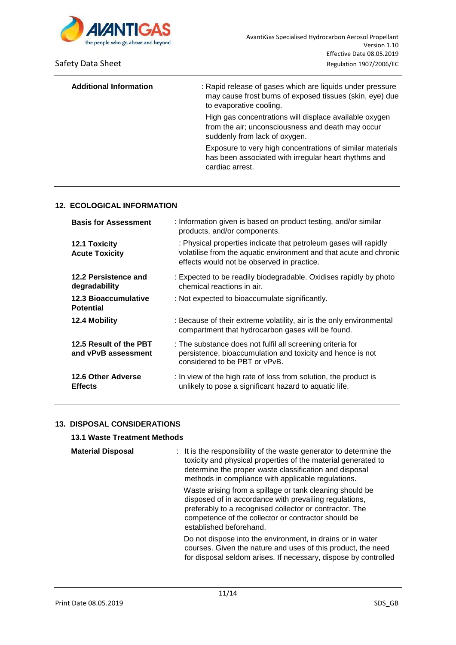

| <b>Additional Information</b> | : Rapid release of gases which are liquids under pressure<br>may cause frost burns of exposed tissues (skin, eye) due<br>to evaporative cooling. |
|-------------------------------|--------------------------------------------------------------------------------------------------------------------------------------------------|
|                               | High gas concentrations will displace available oxygen<br>from the air; unconsciousness and death may occur<br>suddenly from lack of oxygen.     |
|                               | Exposure to very high concentrations of similar materials<br>has been associated with irregular heart rhythms and<br>cardiac arrest.             |

# **12. ECOLOGICAL INFORMATION**

| <b>Basis for Assessment</b>                   | : Information given is based on product testing, and/or similar<br>products, and/or components.                                                                                      |
|-----------------------------------------------|--------------------------------------------------------------------------------------------------------------------------------------------------------------------------------------|
| 12.1 Toxicity<br><b>Acute Toxicity</b>        | : Physical properties indicate that petroleum gases will rapidly<br>volatilise from the aquatic environment and that acute and chronic<br>effects would not be observed in practice. |
| 12.2 Persistence and<br>degradability         | : Expected to be readily biodegradable. Oxidises rapidly by photo<br>chemical reactions in air.                                                                                      |
| 12.3 Bioaccumulative<br><b>Potential</b>      | : Not expected to bioaccumulate significantly.                                                                                                                                       |
| 12.4 Mobility                                 | : Because of their extreme volatility, air is the only environmental<br>compartment that hydrocarbon gases will be found.                                                            |
| 12.5 Result of the PBT<br>and vPvB assessment | : The substance does not fulfil all screening criteria for<br>persistence, bioaccumulation and toxicity and hence is not<br>considered to be PBT or vPvB.                            |
| <b>12.6 Other Adverse</b><br><b>Effects</b>   | : In view of the high rate of loss from solution, the product is<br>unlikely to pose a significant hazard to aquatic life.                                                           |

# **13. DISPOSAL CONSIDERATIONS**

# **13.1 Waste Treatment Methods**

| <b>Material Disposal</b> | : It is the responsibility of the waste generator to determine the<br>toxicity and physical properties of the material generated to<br>determine the proper waste classification and disposal<br>methods in compliance with applicable regulations.             |
|--------------------------|-----------------------------------------------------------------------------------------------------------------------------------------------------------------------------------------------------------------------------------------------------------------|
|                          | Waste arising from a spillage or tank cleaning should be<br>disposed of in accordance with prevailing regulations,<br>preferably to a recognised collector or contractor. The<br>competence of the collector or contractor should be<br>established beforehand. |
|                          | Do not dispose into the environment, in drains or in water<br>courses. Given the nature and uses of this product, the need<br>for disposal seldom arises. If necessary, dispose by controlled                                                                   |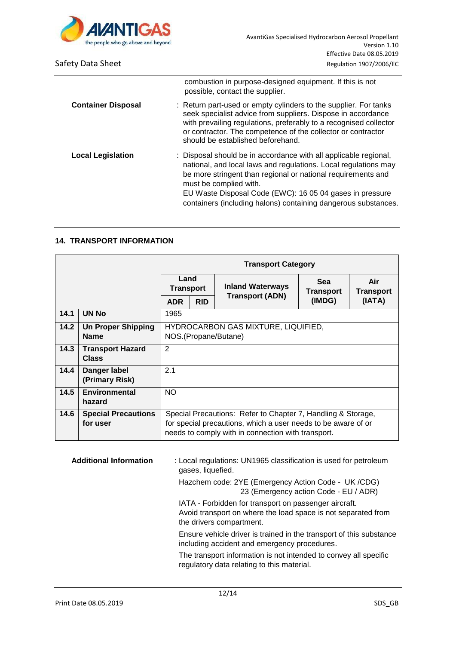

|                           | combustion in purpose-designed equipment. If this is not<br>possible, contact the supplier.                                                                                                                                                                                                                                                                 |
|---------------------------|-------------------------------------------------------------------------------------------------------------------------------------------------------------------------------------------------------------------------------------------------------------------------------------------------------------------------------------------------------------|
| <b>Container Disposal</b> | : Return part-used or empty cylinders to the supplier. For tanks<br>seek specialist advice from suppliers. Dispose in accordance<br>with prevailing regulations, preferably to a recognised collector<br>or contractor. The competence of the collector or contractor<br>should be established beforehand.                                                  |
| <b>Local Legislation</b>  | : Disposal should be in accordance with all applicable regional,<br>national, and local laws and regulations. Local regulations may<br>be more stringent than regional or national requirements and<br>must be complied with.<br>EU Waste Disposal Code (EWC): 16 05 04 gases in pressure<br>containers (including halons) containing dangerous substances. |

## **14. TRANSPORT INFORMATION**

|      |                                          | <b>Transport Category</b>                                   |            |                                                                                                                                                                                     |                         |                         |
|------|------------------------------------------|-------------------------------------------------------------|------------|-------------------------------------------------------------------------------------------------------------------------------------------------------------------------------------|-------------------------|-------------------------|
|      |                                          | Land<br><b>Transport</b>                                    |            | <b>Inland Waterways</b><br><b>Transport (ADN)</b>                                                                                                                                   | <b>Sea</b><br>Transport | Air<br><b>Transport</b> |
|      |                                          | <b>ADR</b>                                                  | <b>RID</b> |                                                                                                                                                                                     | (IMDG)                  | (IATA)                  |
| 14.1 | UN No                                    | 1965                                                        |            |                                                                                                                                                                                     |                         |                         |
| 14.2 | <b>Un Proper Shipping</b><br><b>Name</b> | HYDROCARBON GAS MIXTURE, LIQUIFIED,<br>NOS.(Propane/Butane) |            |                                                                                                                                                                                     |                         |                         |
| 14.3 | <b>Transport Hazard</b><br><b>Class</b>  | 2                                                           |            |                                                                                                                                                                                     |                         |                         |
| 14.4 | Danger label<br>(Primary Risk)           | 2.1                                                         |            |                                                                                                                                                                                     |                         |                         |
| 14.5 | Environmental<br>hazard                  | NO                                                          |            |                                                                                                                                                                                     |                         |                         |
| 14.6 | <b>Special Precautions</b><br>for user   |                                                             |            | Special Precautions: Refer to Chapter 7, Handling & Storage,<br>for special precautions, which a user needs to be aware of or<br>needs to comply with in connection with transport. |                         |                         |

**Additional Information** : Local regulations: UN1965 classification is used for petroleum gases, liquefied.

> Hazchem code: 2YE (Emergency Action Code - UK /CDG) 23 (Emergency action Code - EU / ADR)

 IATA - Forbidden for transport on passenger aircraft. Avoid transport on where the load space is not separated from the drivers compartment.

 Ensure vehicle driver is trained in the transport of this substance including accident and emergency procedures.

 The transport information is not intended to convey all specific regulatory data relating to this material.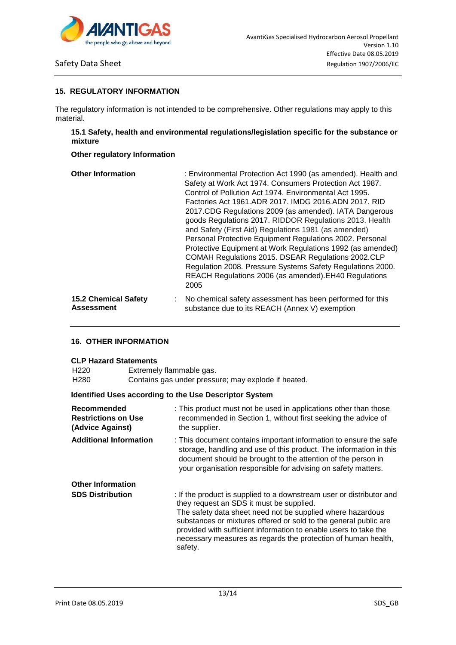

### **15. REGULATORY INFORMATION**

The regulatory information is not intended to be comprehensive. Other regulations may apply to this material.

## **15.1 Safety, health and environmental regulations/legislation specific for the substance or mixture**

### **Other regulatory Information**

| <b>Other Information</b>    | : Environmental Protection Act 1990 (as amended). Health and<br>Safety at Work Act 1974. Consumers Protection Act 1987.<br>Control of Pollution Act 1974. Environmental Act 1995.<br>Factories Act 1961.ADR 2017. IMDG 2016.ADN 2017. RID<br>2017.CDG Regulations 2009 (as amended). IATA Dangerous<br>goods Regulations 2017. RIDDOR Regulations 2013. Health<br>and Safety (First Aid) Regulations 1981 (as amended)<br>Personal Protective Equipment Regulations 2002. Personal<br>Protective Equipment at Work Regulations 1992 (as amended)<br>COMAH Regulations 2015. DSEAR Regulations 2002.CLP<br>Regulation 2008. Pressure Systems Safety Regulations 2000.<br>REACH Regulations 2006 (as amended). EH40 Regulations<br>2005 |
|-----------------------------|---------------------------------------------------------------------------------------------------------------------------------------------------------------------------------------------------------------------------------------------------------------------------------------------------------------------------------------------------------------------------------------------------------------------------------------------------------------------------------------------------------------------------------------------------------------------------------------------------------------------------------------------------------------------------------------------------------------------------------------|
| <b>15.2 Chemical Safety</b> | : No chemical safety assessment has been performed for this                                                                                                                                                                                                                                                                                                                                                                                                                                                                                                                                                                                                                                                                           |
| <b>Assessment</b>           | substance due to its REACH (Annex V) exemption                                                                                                                                                                                                                                                                                                                                                                                                                                                                                                                                                                                                                                                                                        |

# **16. OTHER INFORMATION**

### **CLP Hazard Statements**

H220 Extremely flammable gas.

| H <sub>280</sub> | Contains gas under pressure; may explode if heated. |
|------------------|-----------------------------------------------------|
|------------------|-----------------------------------------------------|

### **Identified Uses according to the Use Descriptor System**

| Recommended<br><b>Restrictions on Use</b><br>(Advice Against) | : This product must not be used in applications other than those<br>recommended in Section 1, without first seeking the advice of<br>the supplier.                                                                                                                                                                                                                                                 |  |
|---------------------------------------------------------------|----------------------------------------------------------------------------------------------------------------------------------------------------------------------------------------------------------------------------------------------------------------------------------------------------------------------------------------------------------------------------------------------------|--|
| <b>Additional Information</b>                                 | : This document contains important information to ensure the safe<br>storage, handling and use of this product. The information in this<br>document should be brought to the attention of the person in<br>your organisation responsible for advising on safety matters.                                                                                                                           |  |
| <b>Other Information</b>                                      |                                                                                                                                                                                                                                                                                                                                                                                                    |  |
| <b>SDS Distribution</b>                                       | : If the product is supplied to a downstream user or distributor and<br>they request an SDS it must be supplied.<br>The safety data sheet need not be supplied where hazardous<br>substances or mixtures offered or sold to the general public are<br>provided with sufficient information to enable users to take the<br>necessary measures as regards the protection of human health,<br>safety. |  |